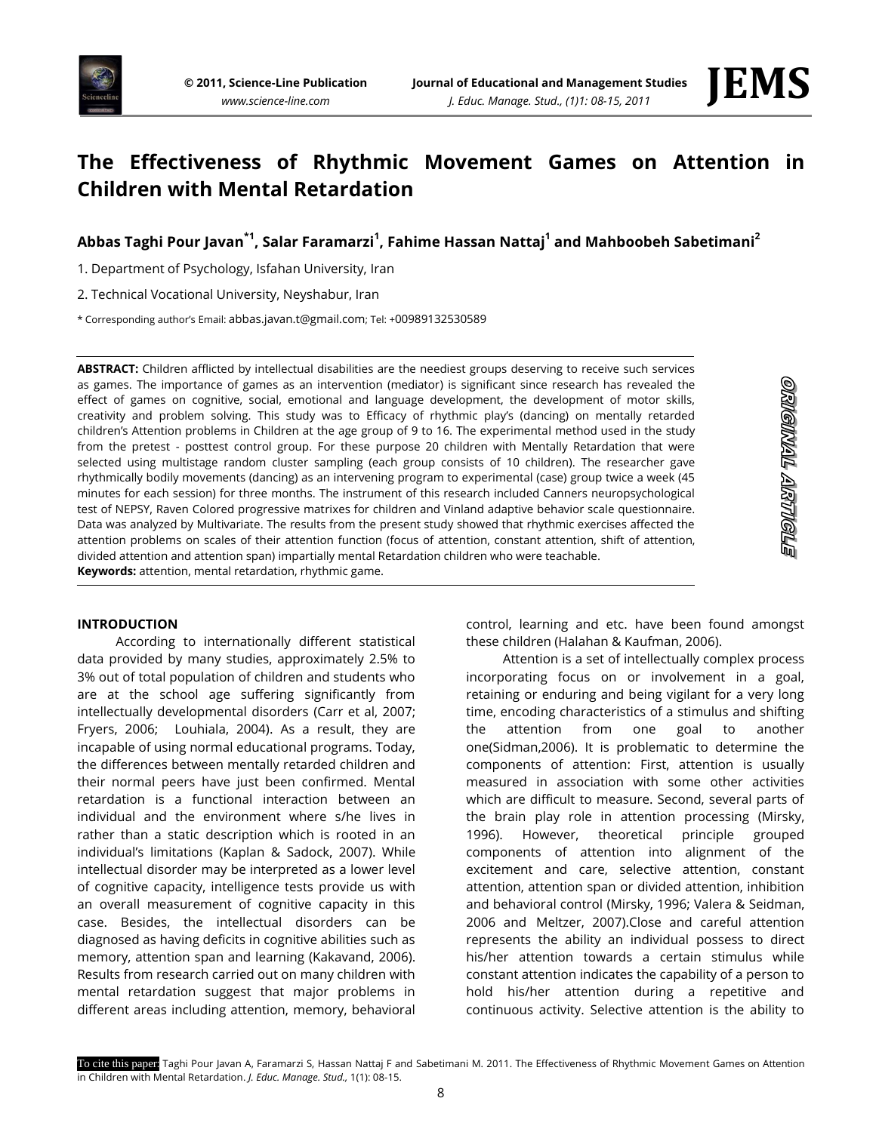



# **The Effectiveness of Rhythmic Movement Games on Attention in Children with Mental Retardation**

# **Abbas Taghi Pour Javan\*1 , Salar Faramarzi<sup>1</sup> , Fahime Hassan Nattaj<sup>1</sup> and Mahboobeh Sabetimani<sup>2</sup>**

1. Department of Psychology, Isfahan University, Iran

2. Technical Vocational University, Neyshabur, Iran

\* Corresponding author's Email: [abbas.javan.t@gmail.com](mailto:abbas.javan.t@gmail.com); Tel: +00989132530589

**ABSTRACT:** Children afflicted by intellectual disabilities are the neediest groups deserving to receive such services as games. The importance of games as an intervention (mediator) is significant since research has revealed the effect of games on cognitive, social, emotional and language development, the development of motor skills, creativity and problem solving. This study was to Efficacy of rhythmic play's (dancing) on mentally retarded children's Attention problems in Children at the age group of 9 to 16. The experimental method used in the study from the pretest - posttest control group. For these purpose 20 children with Mentally Retardation that were selected using multistage random cluster sampling (each group consists of 10 children). The researcher gave rhythmically bodily movements (dancing) as an intervening program to experimental (case) group twice a week (45 minutes for each session) for three months. The instrument of this research included Canners neuropsychological test of NEPSY, Raven Colored progressive matrixes for children and Vinland adaptive behavior scale questionnaire. Data was analyzed by Multivariate. The results from the present study showed that rhythmic exercises affected the attention problems on scales of their attention function (focus of attention, constant attention, shift of attention, divided attention and attention span) impartially mental Retardation children who were teachable. **Keywords:** attention, mental retardation, rhythmic game.

## **INTRODUCTION**

According to internationally different statistical data provided by many studies, approximately 2.5% to 3% out of total population of children and students who are at the school age suffering significantly from intellectually developmental disorders (Carr et al, 2007; Fryers, 2006; Louhiala, 2004). As a result, they are incapable of using normal educational programs. Today, the differences between mentally retarded children and their normal peers have just been confirmed. Mental retardation is a functional interaction between an individual and the environment where s/he lives in rather than a static description which is rooted in an individual's limitations (Kaplan & Sadock, 2007). While intellectual disorder may be interpreted as a lower level of cognitive capacity, intelligence tests provide us with an overall measurement of cognitive capacity in this case. Besides, the intellectual disorders can be diagnosed as having deficits in cognitive abilities such as memory, attention span and learning (Kakavand, 2006). Results from research carried out on many children with mental retardation suggest that major problems in different areas including attention, memory, behavioral

control, learning and etc. have been found amongst these children (Halahan & Kaufman, 2006).

Attention is a set of intellectually complex process incorporating focus on or involvement in a goal, retaining or enduring and being vigilant for a very long time, encoding characteristics of a stimulus and shifting the attention from one goal to another one(Sidman,2006). It is problematic to determine the components of attention: First, attention is usually measured in association with some other activities which are difficult to measure. Second, several parts of the brain play role in attention processing (Mirsky, 1996). However, theoretical principle grouped components of attention into alignment of the excitement and care, selective attention, constant attention, attention span or divided attention, inhibition and behavioral control (Mirsky, 1996; Valera & Seidman, 2006 and Meltzer, 2007).Close and careful attention represents the ability an individual possess to direct his/her attention towards a certain stimulus while constant attention indicates the capability of a person to hold his/her attention during a repetitive and continuous activity. Selective attention is the ability to

To cite this paper: Taghi Pour Javan A, Faramarzi S, Hassan Nattaj F and Sabetimani M. 2011. The Effectiveness of Rhythmic Movement Games on Attention in Children with Mental Retardation. *J. Educ. Manage. Stud.,* 1(1): 08-15.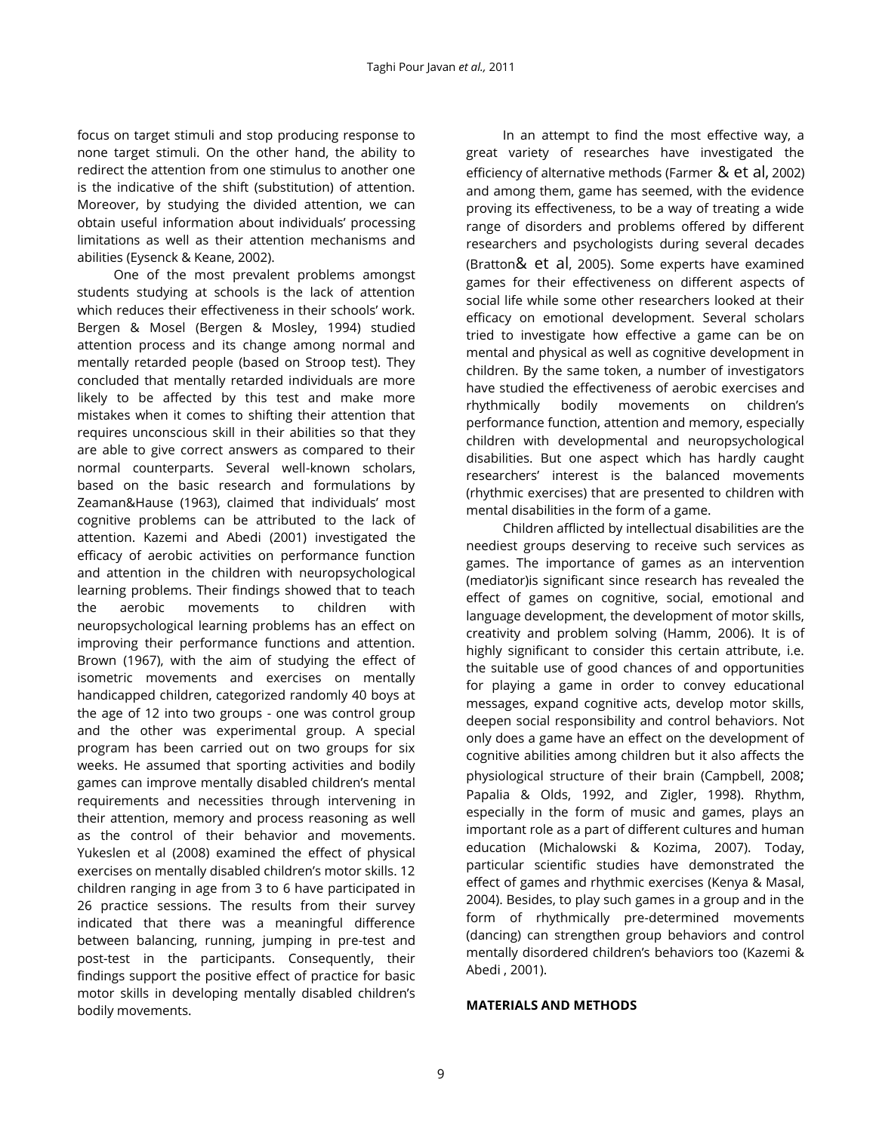focus on target stimuli and stop producing response to none target stimuli. On the other hand, the ability to redirect the attention from one stimulus to another one is the indicative of the shift (substitution) of attention. Moreover, by studying the divided attention, we can obtain useful information about individuals' processing limitations as well as their attention mechanisms and abilities (Eysenck & Keane, 2002).

One of the most prevalent problems amongst students studying at schools is the lack of attention which reduces their effectiveness in their schools' work. Bergen & Mosel (Bergen & Mosley, 1994) studied attention process and its change among normal and mentally retarded people (based on Stroop test). They concluded that mentally retarded individuals are more likely to be affected by this test and make more mistakes when it comes to shifting their attention that requires unconscious skill in their abilities so that they are able to give correct answers as compared to their normal counterparts. Several well-known scholars, based on the basic research and formulations by Zeaman&Hause (1963), claimed that individuals' most cognitive problems can be attributed to the lack of attention. Kazemi and Abedi (2001) investigated the efficacy of aerobic activities on performance function and attention in the children with neuropsychological learning problems. Their findings showed that to teach the aerobic movements to children with neuropsychological learning problems has an effect on improving their performance functions and attention. Brown (1967), with the aim of studying the effect of isometric movements and exercises on mentally handicapped children, categorized randomly 40 boys at the age of 12 into two groups - one was control group and the other was experimental group. A special program has been carried out on two groups for six weeks. He assumed that sporting activities and bodily games can improve mentally disabled children's mental requirements and necessities through intervening in their attention, memory and process reasoning as well as the control of their behavior and movements. Yukeslen et al (2008) examined the effect of physical exercises on mentally disabled children's motor skills. 12 children ranging in age from 3 to 6 have participated in 26 practice sessions. The results from their survey indicated that there was a meaningful difference between balancing, running, jumping in pre-test and post-test in the participants. Consequently, their findings support the positive effect of practice for basic motor skills in developing mentally disabled children's bodily movements.

In an attempt to find the most effective way, a great variety of researches have investigated the efficiency of alternative methods (Farmer & et al, 2002) and among them, game has seemed, with the evidence proving its effectiveness, to be a way of treating a wide range of disorders and problems offered by different researchers and psychologists during several decades (Bratton& et al, 2005). Some experts have examined games for their effectiveness on different aspects of social life while some other researchers looked at their efficacy on emotional development. Several scholars tried to investigate how effective a game can be on mental and physical as well as cognitive development in children. By the same token, a number of investigators have studied the effectiveness of aerobic exercises and rhythmically bodily movements on children's performance function, attention and memory, especially children with developmental and neuropsychological disabilities. But one aspect which has hardly caught researchers' interest is the balanced movements (rhythmic exercises) that are presented to children with mental disabilities in the form of a game.

Children afflicted by intellectual disabilities are the neediest groups deserving to receive such services as games. The importance of games as an intervention (mediator)is significant since research has revealed the effect of games on cognitive, social, emotional and language development, the development of motor skills, creativity and problem solving (Hamm, 2006). It is of highly significant to consider this certain attribute, i.e. the suitable use of good chances of and opportunities for playing a game in order to convey educational messages, expand cognitive acts, develop motor skills, deepen social responsibility and control behaviors. Not only does a game have an effect on the development of cognitive abilities among children but it also affects the physiological structure of their brain (Campbell, 2008; Papalia & Olds, 1992, and Zigler, 1998). Rhythm, especially in the form of music and games, plays an important role as a part of different cultures and human education (Michalowski & Kozima, 2007). Today, particular scientific studies have demonstrated the effect of games and rhythmic exercises (Kenya & Masal, 2004). Besides, to play such games in a group and in the form of rhythmically pre-determined movements (dancing) can strengthen group behaviors and control mentally disordered children's behaviors too (Kazemi & Abedi , 2001).

#### **MATERIALS AND METHODS**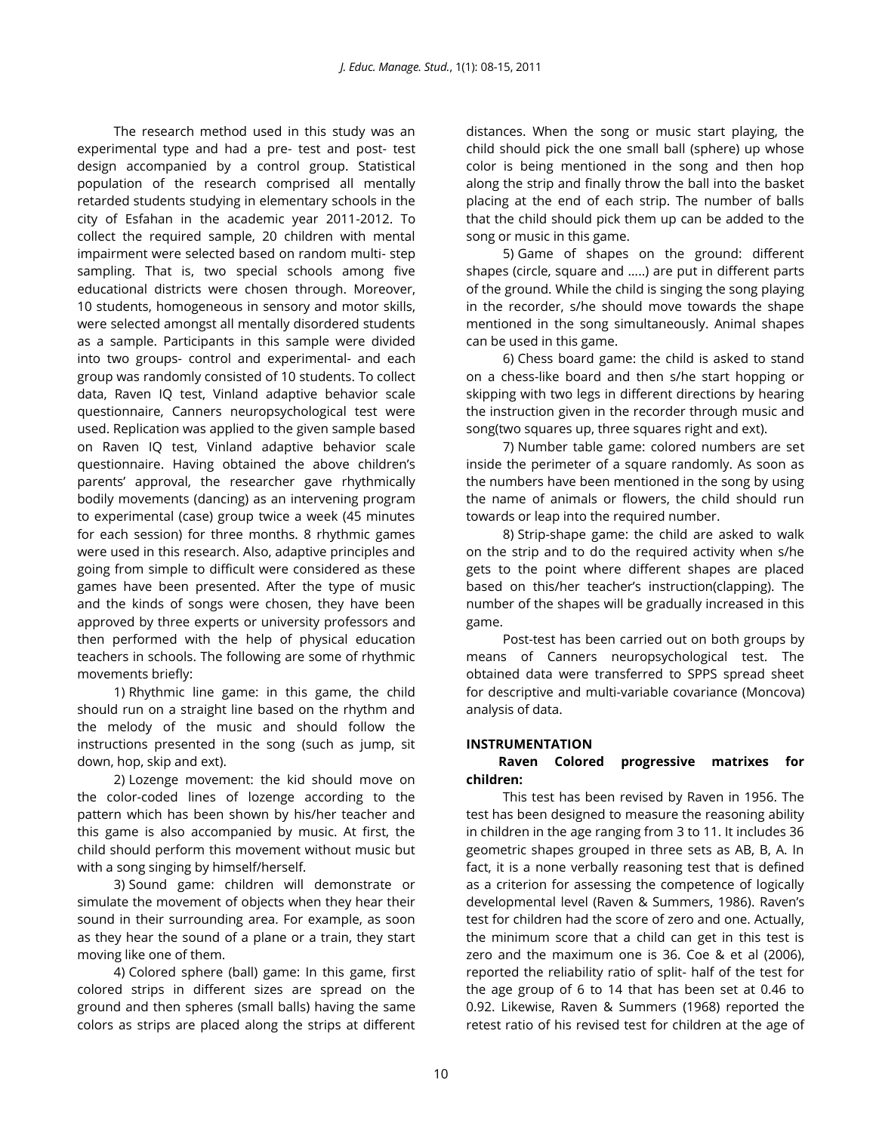The research method used in this study was an experimental type and had a pre- test and post- test design accompanied by a control group. Statistical population of the research comprised all mentally retarded students studying in elementary schools in the city of Esfahan in the academic year 2011-2012. To collect the required sample, 20 children with mental impairment were selected based on random multi- step sampling. That is, two special schools among five educational districts were chosen through. Moreover, 10 students, homogeneous in sensory and motor skills, were selected amongst all mentally disordered students as a sample. Participants in this sample were divided into two groups- control and experimental- and each group was randomly consisted of 10 students. To collect data, Raven IQ test, Vinland adaptive behavior scale questionnaire, Canners neuropsychological test were used. Replication was applied to the given sample based on Raven IQ test, Vinland adaptive behavior scale questionnaire. Having obtained the above children's parents' approval, the researcher gave rhythmically bodily movements (dancing) as an intervening program to experimental (case) group twice a week (45 minutes for each session) for three months. 8 rhythmic games were used in this research. Also, adaptive principles and going from simple to difficult were considered as these games have been presented. After the type of music and the kinds of songs were chosen, they have been approved by three experts or university professors and then performed with the help of physical education teachers in schools. The following are some of rhythmic movements briefly:

1) Rhythmic line game: in this game, the child should run on a straight line based on the rhythm and the melody of the music and should follow the instructions presented in the song (such as jump, sit down, hop, skip and ext).

2) Lozenge movement: the kid should move on the color-coded lines of lozenge according to the pattern which has been shown by his/her teacher and this game is also accompanied by music. At first, the child should perform this movement without music but with a song singing by himself/herself.

3) Sound game: children will demonstrate or simulate the movement of objects when they hear their sound in their surrounding area. For example, as soon as they hear the sound of a plane or a train, they start moving like one of them.

4) Colored sphere (ball) game: In this game, first colored strips in different sizes are spread on the ground and then spheres (small balls) having the same colors as strips are placed along the strips at different

distances. When the song or music start playing, the child should pick the one small ball (sphere) up whose color is being mentioned in the song and then hop along the strip and finally throw the ball into the basket placing at the end of each strip. The number of balls that the child should pick them up can be added to the song or music in this game.

5) Game of shapes on the ground: different shapes (circle, square and …..) are put in different parts of the ground. While the child is singing the song playing in the recorder, s/he should move towards the shape mentioned in the song simultaneously. Animal shapes can be used in this game.

6) Chess board game: the child is asked to stand on a chess-like board and then s/he start hopping or skipping with two legs in different directions by hearing the instruction given in the recorder through music and song(two squares up, three squares right and ext).

7) Number table game: colored numbers are set inside the perimeter of a square randomly. As soon as the numbers have been mentioned in the song by using the name of animals or flowers, the child should run towards or leap into the required number.

8) Strip-shape game: the child are asked to walk on the strip and to do the required activity when s/he gets to the point where different shapes are placed based on this/her teacher's instruction(clapping). The number of the shapes will be gradually increased in this game.

Post-test has been carried out on both groups by means of Canners neuropsychological test. The obtained data were transferred to SPPS spread sheet for descriptive and multi-variable covariance (Moncova) analysis of data.

## **INSTRUMENTATION**

## **Raven Colored progressive matrixes for children:**

This test has been revised by Raven in 1956. The test has been designed to measure the reasoning ability in children in the age ranging from 3 to 11. It includes 36 geometric shapes grouped in three sets as AB, B, A. In fact, it is a none verbally reasoning test that is defined as a criterion for assessing the competence of logically developmental level (Raven & Summers, 1986). Raven's test for children had the score of zero and one. Actually, the minimum score that a child can get in this test is zero and the maximum one is 36. Coe & et al (2006), reported the reliability ratio of split- half of the test for the age group of 6 to 14 that has been set at 0.46 to 0.92. Likewise, Raven & Summers (1968) reported the retest ratio of his revised test for children at the age of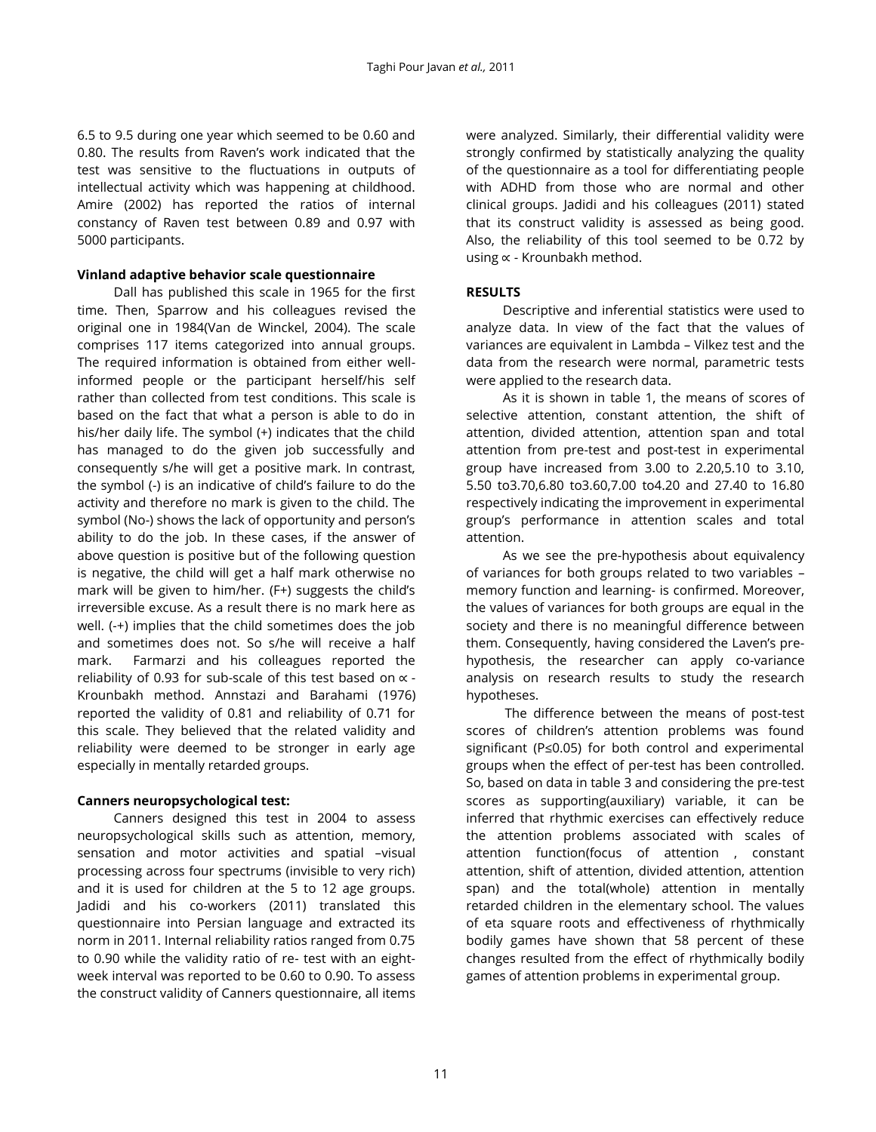6.5 to 9.5 during one year which seemed to be 0.60 and 0.80. The results from Raven's work indicated that the test was sensitive to the fluctuations in outputs of intellectual activity which was happening at childhood. Amire (2002) has reported the ratios of internal constancy of Raven test between 0.89 and 0.97 with 5000 participants.

#### **Vinland adaptive behavior scale questionnaire**

Dall has published this scale in 1965 for the first time. Then, Sparrow and his colleagues revised the original one in 1984(Van de Winckel, 2004). The scale comprises 117 items categorized into annual groups. The required information is obtained from either wellinformed people or the participant herself/his self rather than collected from test conditions. This scale is based on the fact that what a person is able to do in his/her daily life. The symbol (+) indicates that the child has managed to do the given job successfully and consequently s/he will get a positive mark. In contrast, the symbol (-) is an indicative of child's failure to do the activity and therefore no mark is given to the child. The symbol (No-) shows the lack of opportunity and person's ability to do the job. In these cases, if the answer of above question is positive but of the following question is negative, the child will get a half mark otherwise no mark will be given to him/her. (F+) suggests the child's irreversible excuse. As a result there is no mark here as well. (-+) implies that the child sometimes does the job and sometimes does not. So s/he will receive a half mark. Farmarzi and his colleagues reported the reliability of 0.93 for sub-scale of this test based on  $\propto$  -Krounbakh method. Annstazi and Barahami (1976) reported the validity of 0.81 and reliability of 0.71 for this scale. They believed that the related validity and reliability were deemed to be stronger in early age especially in mentally retarded groups.

## **Canners neuropsychological test:**

Canners designed this test in 2004 to assess neuropsychological skills such as attention, memory, sensation and motor activities and spatial –visual processing across four spectrums (invisible to very rich) and it is used for children at the 5 to 12 age groups. Jadidi and his co-workers (2011) translated this questionnaire into Persian language and extracted its norm in 2011. Internal reliability ratios ranged from 0.75 to 0.90 while the validity ratio of re- test with an eightweek interval was reported to be 0.60 to 0.90. To assess the construct validity of Canners questionnaire, all items were analyzed. Similarly, their differential validity were strongly confirmed by statistically analyzing the quality of the questionnaire as a tool for differentiating people with ADHD from those who are normal and other clinical groups. Jadidi and his colleagues (2011) stated that its construct validity is assessed as being good. Also, the reliability of this tool seemed to be 0.72 by using  $\propto$  - Krounbakh method.

## **RESULTS**

Descriptive and inferential statistics were used to analyze data. In view of the fact that the values of variances are equivalent in Lambda – Vilkez test and the data from the research were normal, parametric tests were applied to the research data.

As it is shown in table 1, the means of scores of selective attention, constant attention, the shift of attention, divided attention, attention span and total attention from pre-test and post-test in experimental group have increased from 3.00 to 2.20,5.10 to 3.10, 5.50 to3.70,6.80 to3.60,7.00 to4.20 and 27.40 to 16.80 respectively indicating the improvement in experimental group's performance in attention scales and total attention.

As we see the pre-hypothesis about equivalency of variances for both groups related to two variables – memory function and learning- is confirmed. Moreover, the values of variances for both groups are equal in the society and there is no meaningful difference between them. Consequently, having considered the Laven's prehypothesis, the researcher can apply co-variance analysis on research results to study the research hypotheses.

The difference between the means of post-test scores of children's attention problems was found significant (P≤0.05) for both control and experimental groups when the effect of per-test has been controlled. So, based on data in table 3 and considering the pre-test scores as supporting(auxiliary) variable, it can be inferred that rhythmic exercises can effectively reduce the attention problems associated with scales of attention function(focus of attention , constant attention, shift of attention, divided attention, attention span) and the total(whole) attention in mentally retarded children in the elementary school. The values of eta square roots and effectiveness of rhythmically bodily games have shown that 58 percent of these changes resulted from the effect of rhythmically bodily games of attention problems in experimental group.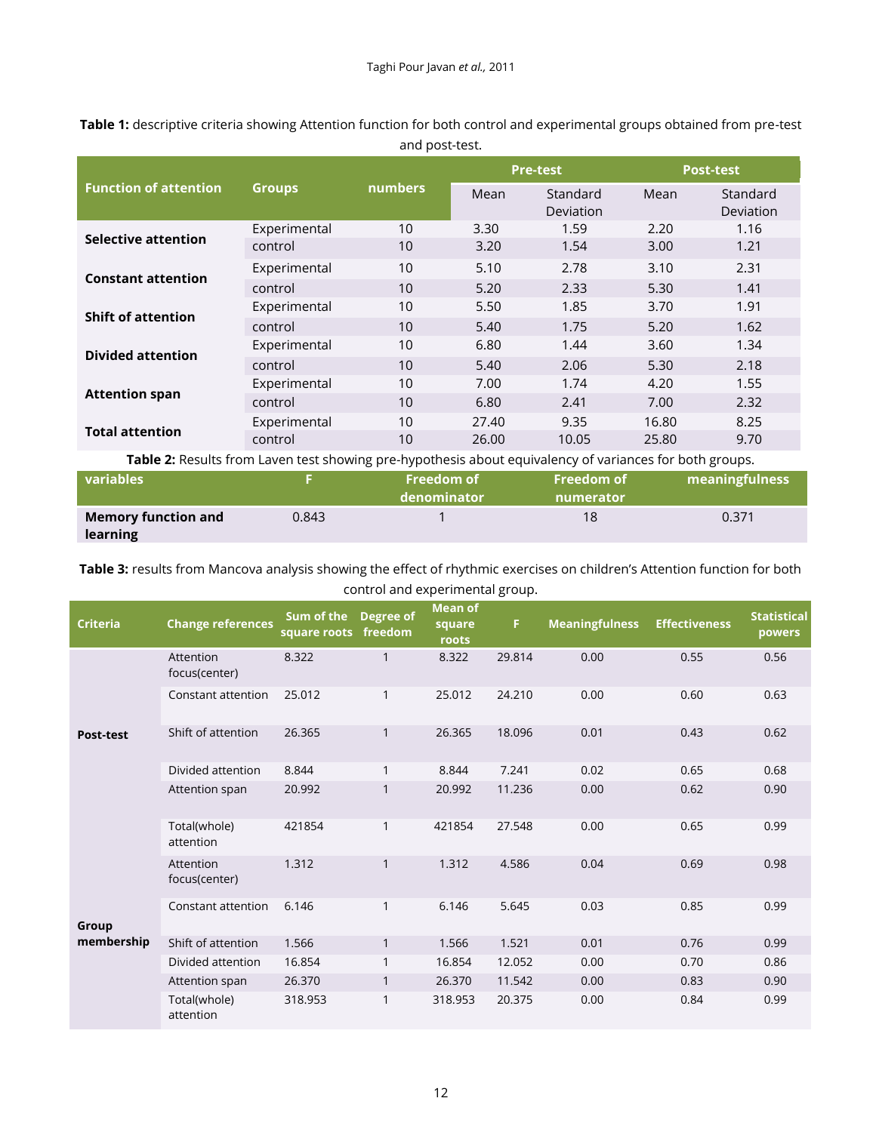|                                                                                                        | <b>Groups</b> | numbers | <b>Pre-test</b> |                       | <b>Post-test</b> |                       |  |
|--------------------------------------------------------------------------------------------------------|---------------|---------|-----------------|-----------------------|------------------|-----------------------|--|
| <b>Function of attention</b>                                                                           |               |         | Mean            | Standard<br>Deviation | Mean             | Standard<br>Deviation |  |
| Selective attention                                                                                    | Experimental  | 10      | 3.30            | 1.59                  | 2.20             | 1.16                  |  |
|                                                                                                        | control       | 10      | 3.20            | 1.54                  | 3.00             | 1.21                  |  |
| <b>Constant attention</b>                                                                              | Experimental  | 10      | 5.10            | 2.78                  | 3.10             | 2.31                  |  |
|                                                                                                        | control       | 10      | 5.20            | 2.33                  | 5.30             | 1.41                  |  |
| <b>Shift of attention</b>                                                                              | Experimental  | 10      | 5.50            | 1.85                  | 3.70             | 1.91                  |  |
|                                                                                                        | control       | 10      | 5.40            | 1.75                  | 5.20             | 1.62                  |  |
| <b>Divided attention</b>                                                                               | Experimental  | 10      | 6.80            | 1.44                  | 3.60             | 1.34                  |  |
|                                                                                                        | control       | 10      | 5.40            | 2.06                  | 5.30             | 2.18                  |  |
| <b>Attention span</b>                                                                                  | Experimental  | 10      | 7.00            | 1.74                  | 4.20             | 1.55                  |  |
|                                                                                                        | control       | 10      | 6.80            | 2.41                  | 7.00             | 2.32                  |  |
| <b>Total attention</b>                                                                                 | Experimental  | 10      | 27.40           | 9.35                  | 16.80            | 8.25                  |  |
|                                                                                                        | control       | 10      | 26.00           | 10.05                 | 25.80            | 9.70                  |  |
| Table 2: Desults from Laven test showing are bypothesis about equivalency of variances for both grouns |               |         |                 |                       |                  |                       |  |

**Table 1:** descriptive criteria showing Attention function for both control and experimental groups obtained from pre-test and post-test.

| <b>Table 2:</b> Results from Laven test showing pre-hypothesis about equivalency of variances for both groups. |       |                                  |                                |                |  |  |  |
|----------------------------------------------------------------------------------------------------------------|-------|----------------------------------|--------------------------------|----------------|--|--|--|
| <b>variables</b>                                                                                               |       | <b>Freedom of</b><br>denominator | <b>Freedom of</b><br>numerator | meaningfulness |  |  |  |
| <b>Memory function and</b><br>learning                                                                         | 0.843 |                                  | 18                             | 0.371          |  |  |  |

**Table 3:** results from Mancova analysis showing the effect of rhythmic exercises on children's Attention function for both control and experimental group.

| <b>Criteria</b>     | <b>Change references</b>   | Sum of the<br>square roots | <b>Degree of</b><br>freedom | <b>Mean of</b><br>square<br>roots | F.     | <b>Meaningfulness</b> | <b>Effectiveness</b> | <b>Statistical</b><br>powers |
|---------------------|----------------------------|----------------------------|-----------------------------|-----------------------------------|--------|-----------------------|----------------------|------------------------------|
| Post-test           | Attention<br>focus(center) | 8.322                      | $\mathbf{1}$                | 8.322                             | 29.814 | 0.00                  | 0.55                 | 0.56                         |
|                     | Constant attention         | 25.012                     | 1                           | 25.012                            | 24.210 | 0.00                  | 0.60                 | 0.63                         |
|                     | Shift of attention         | 26.365                     | 1                           | 26.365                            | 18.096 | 0.01                  | 0.43                 | 0.62                         |
|                     | Divided attention          | 8.844                      | 1                           | 8.844                             | 7.241  | 0.02                  | 0.65                 | 0.68                         |
|                     | Attention span             | 20.992                     |                             | 20.992                            | 11.236 | 0.00                  | 0.62                 | 0.90                         |
| Group<br>membership | Total(whole)<br>attention  | 421854                     | 1                           | 421854                            | 27.548 | 0.00                  | 0.65                 | 0.99                         |
|                     | Attention<br>focus(center) | 1.312                      | 1                           | 1.312                             | 4.586  | 0.04                  | 0.69                 | 0.98                         |
|                     | Constant attention         | 6.146                      | 1                           | 6.146                             | 5.645  | 0.03                  | 0.85                 | 0.99                         |
|                     | Shift of attention         | 1.566                      | $\mathbf{1}$                | 1.566                             | 1.521  | 0.01                  | 0.76                 | 0.99                         |
|                     | Divided attention          | 16.854                     | 1                           | 16.854                            | 12.052 | 0.00                  | 0.70                 | 0.86                         |
|                     | Attention span             | 26.370                     | 1                           | 26.370                            | 11.542 | 0.00                  | 0.83                 | 0.90                         |
|                     | Total(whole)<br>attention  | 318.953                    | 1                           | 318.953                           | 20.375 | 0.00                  | 0.84                 | 0.99                         |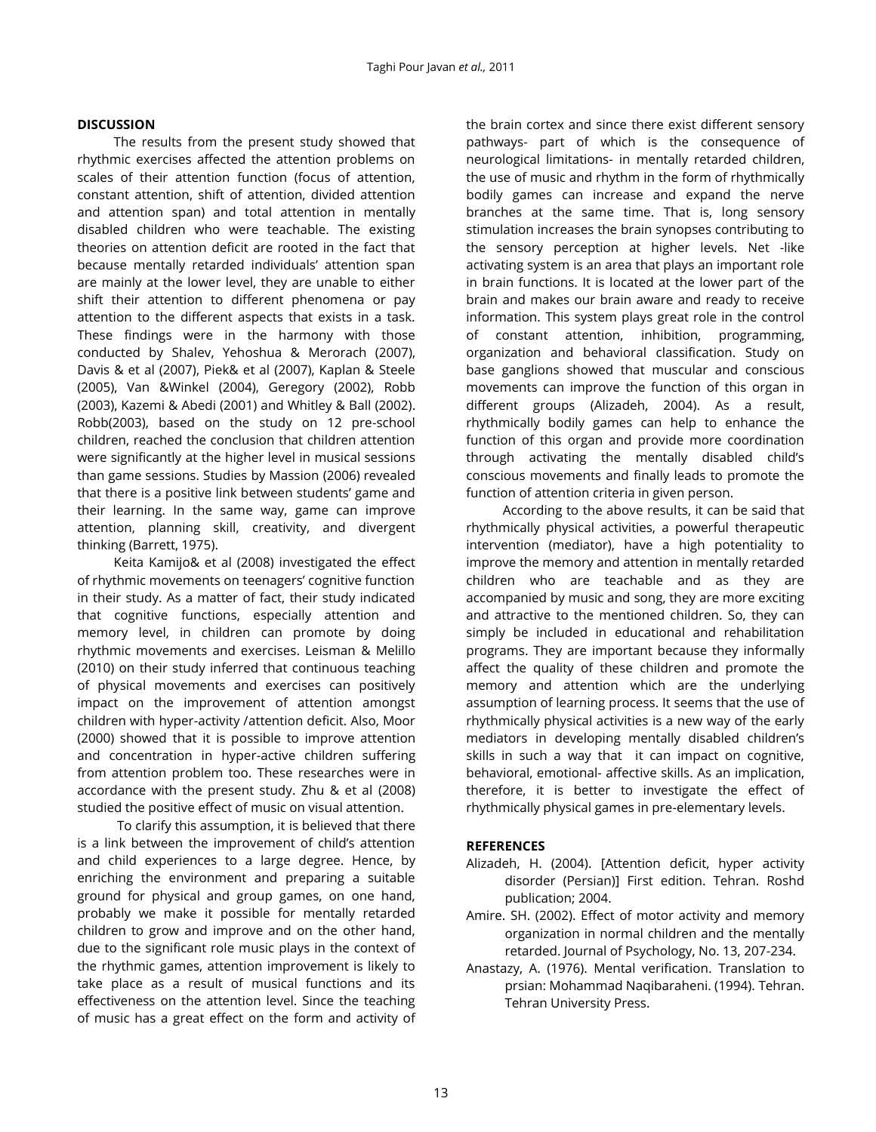#### **DISCUSSION**

The results from the present study showed that rhythmic exercises affected the attention problems on scales of their attention function (focus of attention, constant attention, shift of attention, divided attention and attention span) and total attention in mentally disabled children who were teachable. The existing theories on attention deficit are rooted in the fact that because mentally retarded individuals' attention span are mainly at the lower level, they are unable to either shift their attention to different phenomena or pay attention to the different aspects that exists in a task. These findings were in the harmony with those conducted by Shalev, Yehoshua & Merorach (2007), Davis & et al (2007), Piek& et al (2007), Kaplan & Steele (2005), Van &Winkel (2004), Geregory (2002), Robb (2003), Kazemi & Abedi (2001) and Whitley & Ball (2002). Robb(2003), based on the study on 12 pre-school children, reached the conclusion that children attention were significantly at the higher level in musical sessions than game sessions. Studies by Massion (2006) revealed that there is a positive link between students' game and their learning. In the same way, game can improve attention, planning skill, creativity, and divergent thinking (Barrett, 1975).

Keita Kamijo& et al (2008) investigated the effect of rhythmic movements on teenagers' cognitive function in their study. As a matter of fact, their study indicated that cognitive functions, especially attention and memory level, in children can promote by doing rhythmic movements and exercises. Leisman & Melillo (2010) on their study inferred that continuous teaching of physical movements and exercises can positively impact on the improvement of attention amongst children with hyper-activity /attention deficit. Also, Moor (2000) showed that it is possible to improve attention and concentration in hyper-active children suffering from attention problem too. These researches were in accordance with the present study. Zhu & et al (2008) studied the positive effect of music on visual attention.

To clarify this assumption, it is believed that there is a link between the improvement of child's attention and child experiences to a large degree. Hence, by enriching the environment and preparing a suitable ground for physical and group games, on one hand, probably we make it possible for mentally retarded children to grow and improve and on the other hand, due to the significant role music plays in the context of the rhythmic games, attention improvement is likely to take place as a result of musical functions and its effectiveness on the attention level. Since the teaching of music has a great effect on the form and activity of

the brain cortex and since there exist different sensory pathways- part of which is the consequence of neurological limitations- in mentally retarded children, the use of music and rhythm in the form of rhythmically bodily games can increase and expand the nerve branches at the same time. That is, long sensory stimulation increases the brain synopses contributing to the sensory perception at higher levels. Net -like activating system is an area that plays an important role in brain functions. It is located at the lower part of the brain and makes our brain aware and ready to receive information. This system plays great role in the control of constant attention, inhibition, programming, organization and behavioral classification. Study on base ganglions showed that muscular and conscious movements can improve the function of this organ in different groups (Alizadeh, 2004). As a result, rhythmically bodily games can help to enhance the function of this organ and provide more coordination through activating the mentally disabled child's conscious movements and finally leads to promote the function of attention criteria in given person.

According to the above results, it can be said that rhythmically physical activities, a powerful therapeutic intervention (mediator), have a high potentiality to improve the memory and attention in mentally retarded children who are teachable and as they are accompanied by music and song, they are more exciting and attractive to the mentioned children. So, they can simply be included in educational and rehabilitation programs. They are important because they informally affect the quality of these children and promote the memory and attention which are the underlying assumption of learning process. It seems that the use of rhythmically physical activities is a new way of the early mediators in developing mentally disabled children's skills in such a way that it can impact on cognitive, behavioral, emotional- affective skills. As an implication, therefore, it is better to investigate the effect of rhythmically physical games in pre-elementary levels.

#### **REFERENCES**

- Alizadeh, H. (2004). [Attention deficit, hyper activity disorder (Persian)] First edition. Tehran. Roshd publication; 2004.
- Amire. SH. (2002). Effect of motor activity and memory organization in normal children and the mentally retarded. Journal of Psychology, No. 13, 207-234.
- Anastazy, A. (1976). Mental verification. Translation to prsian: Mohammad Naqibaraheni. (1994). Tehran. Tehran University Press.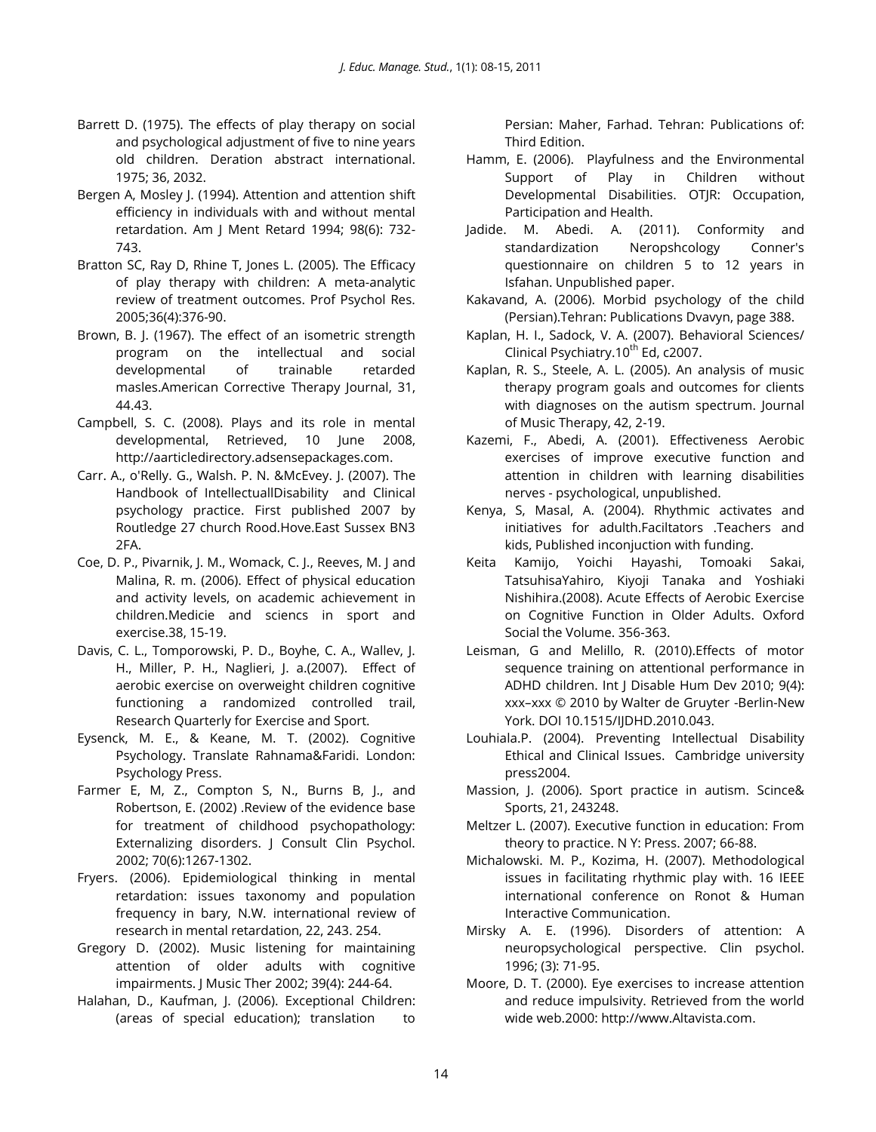- Barrett D. (1975). The effects of play therapy on social and psychological adjustment of five to nine years old children. Deration abstract international. 1975; 36, 2032.
- Bergen A, Mosley J. (1994). Attention and attention shift efficiency in individuals with and without mental retardation. Am J Ment Retard 1994; 98(6): 732- 743.
- Bratton SC, Ray D, Rhine T, Jones L. (2005). The Efficacy of play therapy with children: A meta-analytic review of treatment outcomes. Prof Psychol Res. 2005;36(4):376-90.
- Brown, B. J. (1967). The effect of an isometric strength program on the intellectual and social developmental of trainable retarded masles.American Corrective Therapy Journal, 31, 44.43.
- Campbell, S. C. (2008). Plays and its role in mental developmental, Retrieved, 10 June 2008, http://aarticledirectory.adsensepackages.com.
- Carr. A., o'Relly. G., Walsh. P. N. &McEvey. J. (2007). The Handbook of IntellectuallDisability and Clinical psychology practice. First published 2007 by Routledge 27 church Rood.Hove.East Sussex BN3 2FA.
- Coe, D. P., Pivarnik, J. M., Womack, C. J., Reeves, M. J and Malina, R. m. (2006). Effect of physical education and activity levels, on academic achievement in children.Medicie and sciencs in sport and exercise.38, 15-19.
- Davis, C. L., Tomporowski, P. D., Boyhe, C. A., Wallev, J. H., Miller, P. H., Naglieri, J. a.(2007). Effect of aerobic exercise on overweight children cognitive functioning a randomized controlled trail, Research Quarterly for Exercise and Sport.
- Eysenck, M. E., & Keane, M. T. (2002). Cognitive Psychology. Translate Rahnama&Faridi. London: Psychology Press.
- Farmer E, M, Z., Compton S, N., Burns B, J., and Robertson, E. (2002) .Review of the evidence base for treatment of childhood psychopathology: Externalizing disorders. | Consult Clin Psychol. 2002; 70(6):1267-1302.
- Fryers. (2006). Epidemiological thinking in mental retardation: issues taxonomy and population frequency in bary, N.W. international review of research in mental retardation, 22, 243. 254.
- Gregory D. (2002). Music listening for maintaining attention of older adults with cognitive impairments. J Music Ther 2002; 39(4): 244-64.
- Halahan, D., Kaufman, J. (2006). Exceptional Children: (areas of special education); translation to

Persian: Maher, Farhad. Tehran: Publications of: Third Edition.

- Hamm, E. (2006). Playfulness and the Environmental Support of Play in Children without Developmental Disabilities. OTJR: Occupation, Participation and Health.
- Jadide. M. Abedi. A. (2011). Conformity and standardization Neropshcology Conner's questionnaire on children 5 to 12 years in Isfahan. Unpublished paper.
- Kakavand, A. (2006). Morbid psychology of the child (Persian).Tehran: Publications Dvavyn, page 388.
- Kaplan, H. I., Sadock, V. A. (2007). Behavioral Sciences/ Clinical Psychiatry.10<sup>th</sup> Ed, c2007.
- Kaplan, R. S., Steele, A. L. (2005). An analysis of music therapy program goals and outcomes for clients with diagnoses on the autism spectrum. Journal of Music Therapy, 42, 2-19.
- Kazemi, F., Abedi, A. (2001). Effectiveness Aerobic exercises of improve executive function and attention in children with learning disabilities nerves - psychological, unpublished.
- Kenya, S, Masal, A. (2004). Rhythmic activates and initiatives for adulth.Faciltators .Teachers and kids, Published inconjuction with funding.
- [Keita Kamijo,](http://psychsocgerontology.oxfordjournals.org/search?author1=Keita+Kamijo&sortspec=date&submit=Submit) [Yoichi Hayashi,](http://psychsocgerontology.oxfordjournals.org/search?author1=Yoichi+Hayashi&sortspec=date&submit=Submit) [Tomoaki Sakai,](http://psychsocgerontology.oxfordjournals.org/search?author1=Tomoaki+Sakai&sortspec=date&submit=Submit)  [TatsuhisaYahiro,](http://psychsocgerontology.oxfordjournals.org/search?author1=Tatsuhisa+Yahiro&sortspec=date&submit=Submit) [Kiyoji Tanaka](http://psychsocgerontology.oxfordjournals.org/search?author1=Kiyoji+Tanaka&sortspec=date&submit=Submit) and [Yoshiaki](http://psychsocgerontology.oxfordjournals.org/search?author1=Yoshiaki+Nishihira&sortspec=date&submit=Submit)  [Nishihira.](http://psychsocgerontology.oxfordjournals.org/search?author1=Yoshiaki+Nishihira&sortspec=date&submit=Submit)(2008). Acute Effects of Aerobic Exercise on Cognitive Function in Older Adults. Oxford Social the Volume. 356-363.
- Leisman, G and Melillo, R. (2010).Effects of motor sequence training on attentional performance in ADHD children. Int J Disable Hum Dev 2010; 9(4): xxx–xxx © 2010 by Walter de Gruyter -Berlin-New York. DOI 10.1515/IJDHD.2010.043.
- Louhiala.P. (2004). Preventing Intellectual Disability Ethical and Clinical Issues. Cambridge university press2004.
- Massion, J. (2006). Sport practice in autism. Scince& Sports, 21, 243248.
- Meltzer L. (2007). Executive function in education: From theory to practice. N Y: Press. 2007; 66-88.
- Michalowski. M. P., Kozima, H. (2007). Methodological issues in facilitating rhythmic play with. 16 IEEE international conference on Ronot & Human Interactive Communication.
- Mirsky A. E. (1996). Disorders of attention: A neuropsychological perspective. Clin psychol. 1996; (3): 71-95.
- Moore, D. T. (2000). Eye exercises to increase attention and reduce impulsivity. Retrieved from the world wide web.2000: http://www.Altavista.com.